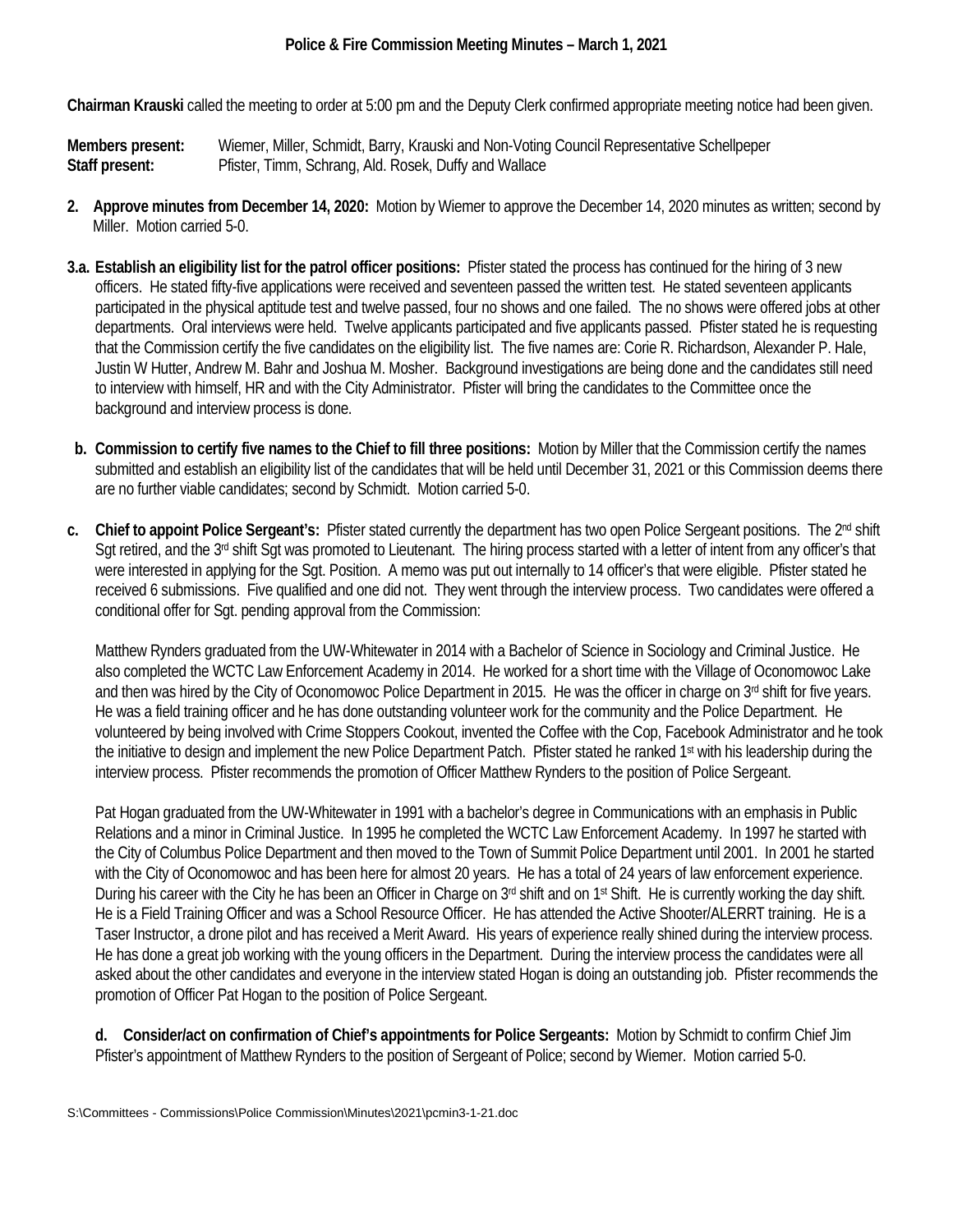**Chairman Krauski** called the meeting to order at 5:00 pm and the Deputy Clerk confirmed appropriate meeting notice had been given.

**Members present:** Wiemer, Miller, Schmidt, Barry, Krauski and Non-Voting Council Representative Schellpeper **Staff present:** Pfister, Timm, Schrang, Ald. Rosek, Duffy and Wallace

- **2. Approve minutes from December 14, 2020:** Motion by Wiemer to approve the December 14, 2020 minutes as written; second by Miller. Motion carried 5-0.
- **3.a. Establish an eligibility list for the patrol officer positions:** Pfister stated the process has continued for the hiring of 3 new officers. He stated fifty-five applications were received and seventeen passed the written test. He stated seventeen applicants participated in the physical aptitude test and twelve passed, four no shows and one failed. The no shows were offered jobs at other departments. Oral interviews were held. Twelve applicants participated and five applicants passed. Pfister stated he is requesting that the Commission certify the five candidates on the eligibility list. The five names are: Corie R. Richardson, Alexander P. Hale, Justin W Hutter, Andrew M. Bahr and Joshua M. Mosher. Background investigations are being done and the candidates still need to interview with himself, HR and with the City Administrator. Pfister will bring the candidates to the Committee once the background and interview process is done.
- **b. Commission to certify five names to the Chief to fill three positions:** Motion by Miller that the Commission certify the names submitted and establish an eligibility list of the candidates that will be held until December 31, 2021 or this Commission deems there are no further viable candidates; second by Schmidt. Motion carried 5-0.
- **c. Chief to appoint Police Sergeant's:** Pfister stated currently the department has two open Police Sergeant positions. The 2nd shift Sgt retired, and the 3<sup>rd</sup> shift Sgt was promoted to Lieutenant. The hiring process started with a letter of intent from any officer's that were interested in applying for the Sgt. Position. A memo was put out internally to 14 officer's that were eligible. Pfister stated he received 6 submissions. Five qualified and one did not. They went through the interview process. Two candidates were offered a conditional offer for Sgt. pending approval from the Commission:

Matthew Rynders graduated from the UW-Whitewater in 2014 with a Bachelor of Science in Sociology and Criminal Justice. He also completed the WCTC Law Enforcement Academy in 2014. He worked for a short time with the Village of Oconomowoc Lake and then was hired by the City of Oconomowoc Police Department in 2015. He was the officer in charge on 3<sup>rd</sup> shift for five years. He was a field training officer and he has done outstanding volunteer work for the community and the Police Department. He volunteered by being involved with Crime Stoppers Cookout, invented the Coffee with the Cop, Facebook Administrator and he took the initiative to design and implement the new Police Department Patch. Pfister stated he ranked 1<sup>st</sup> with his leadership during the interview process. Pfister recommends the promotion of Officer Matthew Rynders to the position of Police Sergeant.

Pat Hogan graduated from the UW-Whitewater in 1991 with a bachelor's degree in Communications with an emphasis in Public Relations and a minor in Criminal Justice. In 1995 he completed the WCTC Law Enforcement Academy. In 1997 he started with the City of Columbus Police Department and then moved to the Town of Summit Police Department until 2001. In 2001 he started with the City of Oconomowoc and has been here for almost 20 years. He has a total of 24 years of law enforcement experience. During his career with the City he has been an Officer in Charge on  $3<sup>rd</sup>$  shift and on  $1<sup>st</sup>$  Shift. He is currently working the day shift. He is a Field Training Officer and was a School Resource Officer. He has attended the Active Shooter/ALERRT training. He is a Taser Instructor, a drone pilot and has received a Merit Award. His years of experience really shined during the interview process. He has done a great job working with the young officers in the Department. During the interview process the candidates were all asked about the other candidates and everyone in the interview stated Hogan is doing an outstanding job. Pfister recommends the promotion of Officer Pat Hogan to the position of Police Sergeant.

**d. Consider/act on confirmation of Chief's appointments for Police Sergeants:** Motion by Schmidt to confirm Chief Jim Pfister's appointment of Matthew Rynders to the position of Sergeant of Police; second by Wiemer. Motion carried 5-0.